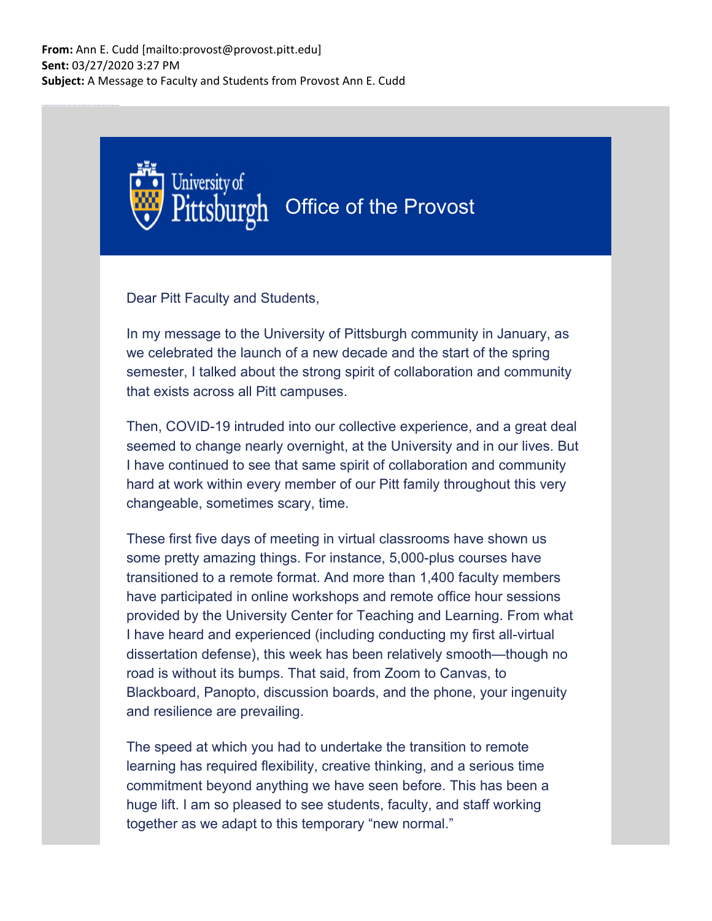

Dear Pitt Faculty and Students,

In my message to the University of Pittsburgh community in January, as we celebrated the launch of a new decade and the start of the spring semester, I talked about the strong spirit of collaboration and community that exists across all Pitt campuses.

Then, COVID-19 intruded into our collective experience, and a great deal seemed to change nearly overnight, at the University and in our lives. But I have continued to see that same spirit of collaboration and community hard at work within every member of our Pitt family throughout this very changeable, sometimes scary, time.

These first five days of meeting in virtual classrooms have shown us some pretty amazing things. For instance, 5,000-plus courses have transitioned to a remote format. And more than 1,400 faculty members have participated in online workshops and remote office hour sessions provided by the University Center for Teaching and Learning. From what I have heard and experienced (including conducting my first all-virtual dissertation defense), this week has been relatively smooth—though no road is without its bumps. That said, from Zoom to Canvas, to Blackboard, Panopto, discussion boards, and the phone, your ingenuity and resilience are prevailing.

The speed at which you had to undertake the transition to remote learning has required flexibility, creative thinking, and a serious time commitment beyond anything we have seen before. This has been a huge lift. I am so pleased to see students, faculty, and staff working together as we adapt to this temporary "new normal."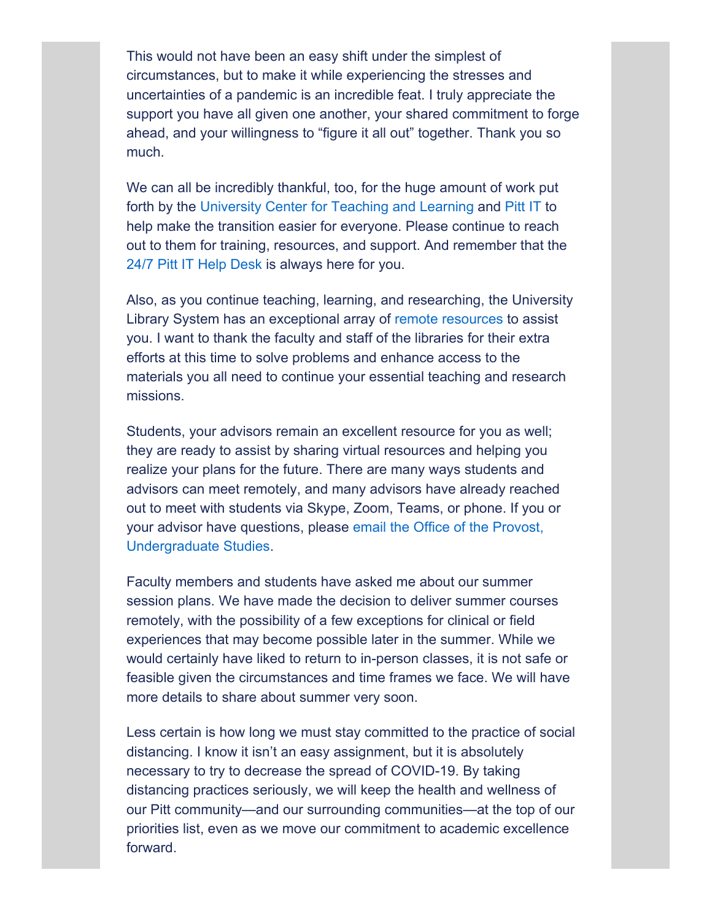This would not have been an easy shift under the simplest of circumstances, but to make it while experiencing the stresses and uncertainties of a pandemic is an incredible feat. I truly appreciate the support you have all given one another, your shared commitment to forge ahead, and your willingness to "figure it all out" together. Thank you so much.

We can all be incredibly thankful, too, for the huge amount of work put forth by the University Center for Teaching and Learning and Pitt IT to help make the transition easier for everyone. Please continue to reach out to them for training, resources, and support. And remember that the 24/7 Pitt IT Help Desk is always here for you.

Also, as you continue teaching, learning, and researching, the University Library System has an exceptional array of remote resources to assist you. I want to thank the faculty and staff of the libraries for their extra efforts at this time to solve problems and enhance access to the materials you all need to continue your essential teaching and research missions.

Students, your advisors remain an excellent resource for you as well; they are ready to assist by sharing virtual resources and helping you realize your plans for the future. There are many ways students and advisors can meet remotely, and many advisors have already reached out to meet with students via Skype, Zoom, Teams, or phone. If you or your advisor have questions, please email the Office of the Provost, Undergraduate Studies.

Faculty members and students have asked me about our summer session plans. We have made the decision to deliver summer courses remotely, with the possibility of a few exceptions for clinical or field experiences that may become possible later in the summer. While we would certainly have liked to return to in-person classes, it is not safe or feasible given the circumstances and time frames we face. We will have more details to share about summer very soon.

Less certain is how long we must stay committed to the practice of social distancing. I know it isn't an easy assignment, but it is absolutely necessary to try to decrease the spread of COVID-19. By taking distancing practices seriously, we will keep the health and wellness of our Pitt community—and our surrounding communities—at the top of our priorities list, even as we move our commitment to academic excellence forward.